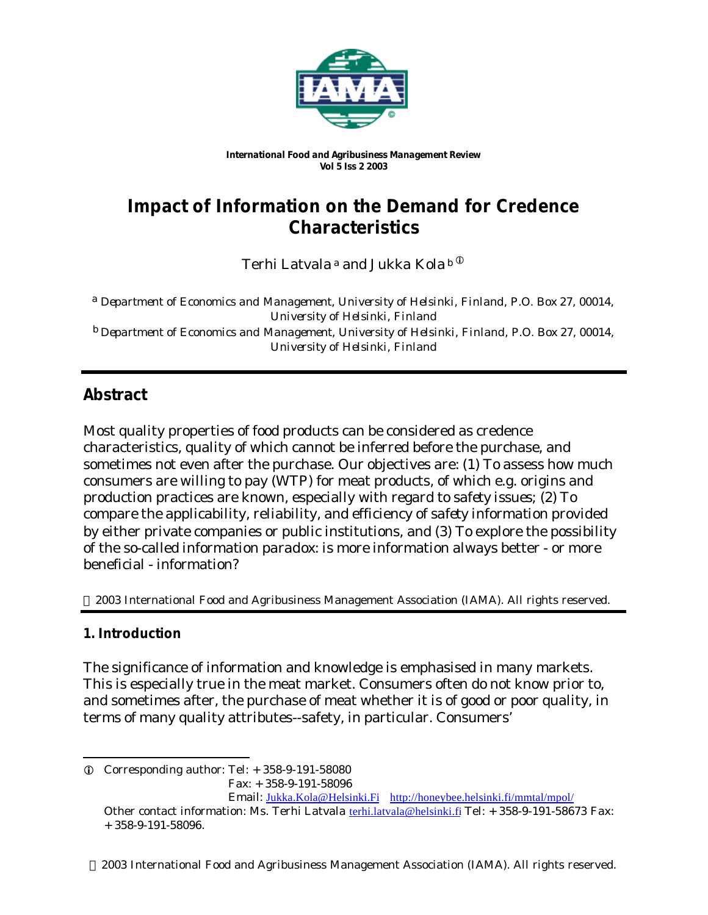

*International Food and Agribusiness Management Review Vol 5 Iss 2 2003*

# **Impact of Information on the Demand for Credence Characteristics**

Terhi Latvala<sup>a</sup> and Jukka Kola<sup>b (i)</sup>

a *Department of Economics and Management, University of Helsinki, Finland, P.O. Box 27, 00014, University of Helsinki, Finland* b *Department of Economics and Management, University of Helsinki, Finland, P.O. Box 27, 00014, University of Helsinki, Finland*

## **Abstract**

Most quality properties of food products can be considered as credence characteristics, quality of which cannot be inferred before the purchase, and sometimes not even after the purchase. Our objectives are: (1) To assess how much consumers are willing to pay (WTP) for meat products, of which e.g. origins and production practices are known, especially with regard to *safety issues;* (2) To compare the applicability, reliability, and efficiency of *safety information* provided by either private companies or public institutions, and (3) To explore the possibility of the so-called *information paradox*: is more information always better - or more beneficial - information?

2003 International Food and Agribusiness Management Association (IAMA). All rights reserved.

## **1. Introduction**

The significance of information and knowledge is emphasised in many markets. This is especially true in the meat market. Consumers often do not know prior to, and sometimes after, the purchase of meat whether it is of good or poor quality, in terms of many quality attributes--safety, in particular. Consumers'

l  $\odot$  Corresponding author: Tel:  $+358-9-191-58080$ Fax: + 358-9-191-58096

Email: Jukka.Kola@Helsinki.Fi http://honeybee.helsinki.fi/mmtal/mpol/

Other contact information: Ms. Terhi Latvala terhi.latvala@helsinki.fi Tel: + 358-9-191-58673 Fax: + 358-9-191-58096.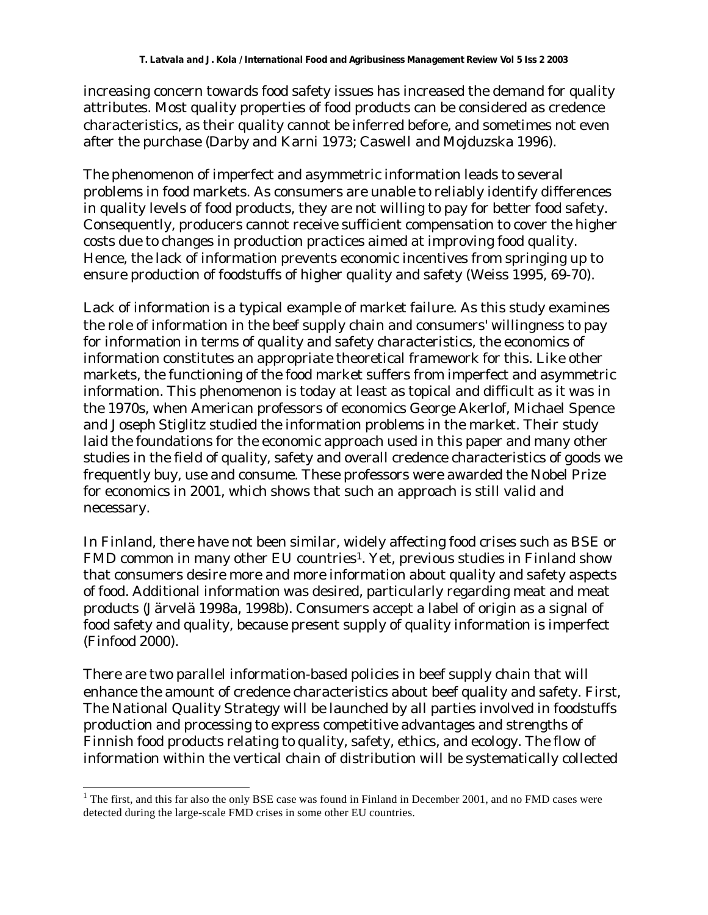increasing concern towards food safety issues has increased the demand for quality attributes. Most quality properties of food products can be considered as credence characteristics, as their quality cannot be inferred before, and sometimes not even after the purchase (Darby and Karni 1973; Caswell and Mojduzska 1996).

The phenomenon of imperfect and asymmetric information leads to several problems in food markets. As consumers are unable to reliably identify differences in quality levels of food products, they are not willing to pay for better food safety. Consequently, producers cannot receive sufficient compensation to cover the higher costs due to changes in production practices aimed at improving food quality. Hence, the lack of information prevents economic incentives from springing up to ensure production of foodstuffs of higher quality and safety (Weiss 1995, 69-70).

Lack of information is a typical example of market failure. As this study examines the role of information in the beef supply chain and consumers' willingness to pay for information in terms of quality and safety characteristics, the economics of information constitutes an appropriate theoretical framework for this. Like other markets, the functioning of the food market suffers from imperfect and asymmetric information. This phenomenon is today at least as topical and difficult as it was in the 1970s, when American professors of economics George Akerlof, Michael Spence and Joseph Stiglitz studied the information problems in the market. Their study laid the foundations for the economic approach used in this paper and many other studies in the field of quality, safety and overall credence characteristics of goods we frequently buy, use and consume. These professors were awarded the Nobel Prize for economics in 2001, which shows that such an approach is still valid and necessary.

In Finland, there have not been similar, widely affecting food crises such as BSE or FMD common in many other EU countries<sup>1</sup>. Yet, previous studies in Finland show that consumers desire more and more information about quality and safety aspects of food. Additional information was desired, particularly regarding meat and meat products (Järvelä 1998a, 1998b). Consumers accept a label of origin as a signal of food safety and quality, because present supply of quality information is imperfect (Finfood 2000).

There are two parallel information-based policies in beef supply chain that will enhance the amount of credence characteristics about beef quality and safety. First, The National Quality Strategy will be launched by all parties involved in foodstuffs production and processing to express competitive advantages and strengths of Finnish food products relating to quality, safety, ethics, and ecology. The flow of information within the vertical chain of distribution will be systematically collected

l

 $<sup>1</sup>$  The first, and this far also the only BSE case was found in Finland in December 2001, and no FMD cases were</sup> detected during the large-scale FMD crises in some other EU countries.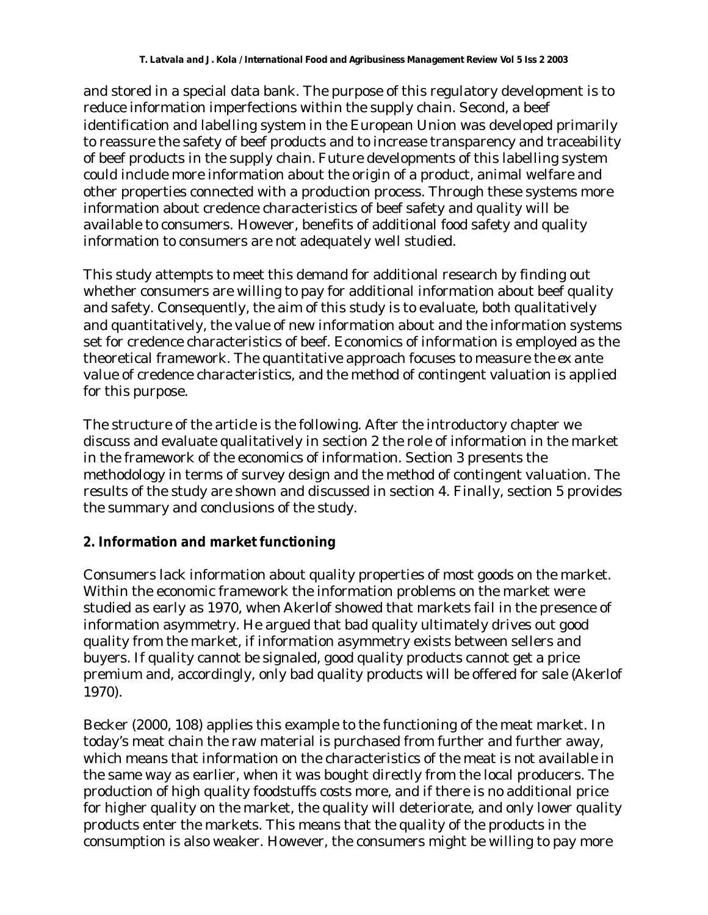and stored in a special data bank. The purpose of this regulatory development is to reduce information imperfections within the supply chain. Second, a beef identification and labelling system in the European Union was developed primarily to reassure the safety of beef products and to increase transparency and traceability of beef products in the supply chain. Future developments of this labelling system could include more information about the origin of a product, animal welfare and other properties connected with a production process. Through these systems more information about credence characteristics of beef safety and quality will be available to consumers. However, benefits of additional food safety and quality information to consumers are not adequately well studied.

This study attempts to meet this demand for additional research by finding out whether consumers are willing to pay for additional information about beef quality and safety. Consequently, the aim of this study is to evaluate, both qualitatively and quantitatively, the value of new information about and the information systems set for credence characteristics of beef. Economics of information is employed as the theoretical framework. The quantitative approach focuses to measure the *ex ante* value of credence characteristics, and the method of contingent valuation is applied for this purpose.

The structure of the article is the following. After the introductory chapter we discuss and evaluate qualitatively in section 2 the role of information in the market in the framework of the economics of information. Section 3 presents the methodology in terms of survey design and the method of contingent valuation. The results of the study are shown and discussed in section 4. Finally, section 5 provides the summary and conclusions of the study.

## **2. Information and market functioning**

Consumers lack information about quality properties of most goods on the market. Within the economic framework the information problems on the market were studied as early as 1970, when Akerlof showed that markets fail in the presence of information asymmetry. He argued that bad quality ultimately drives out good quality from the market, if information asymmetry exists between sellers and buyers. If quality cannot be signaled, good quality products cannot get a price premium and, accordingly, only bad quality products will be offered for sale (Akerlof 1970).

Becker (2000, 108) applies this example to the functioning of the meat market. In today's meat chain the raw material is purchased from further and further away, which means that information on the characteristics of the meat is not available in the same way as earlier, when it was bought directly from the local producers. The production of high quality foodstuffs costs more, and if there is no additional price for higher quality on the market, the quality will deteriorate, and only lower quality products enter the markets. This means that the quality of the products in the consumption is also weaker. However, the consumers might be willing to pay more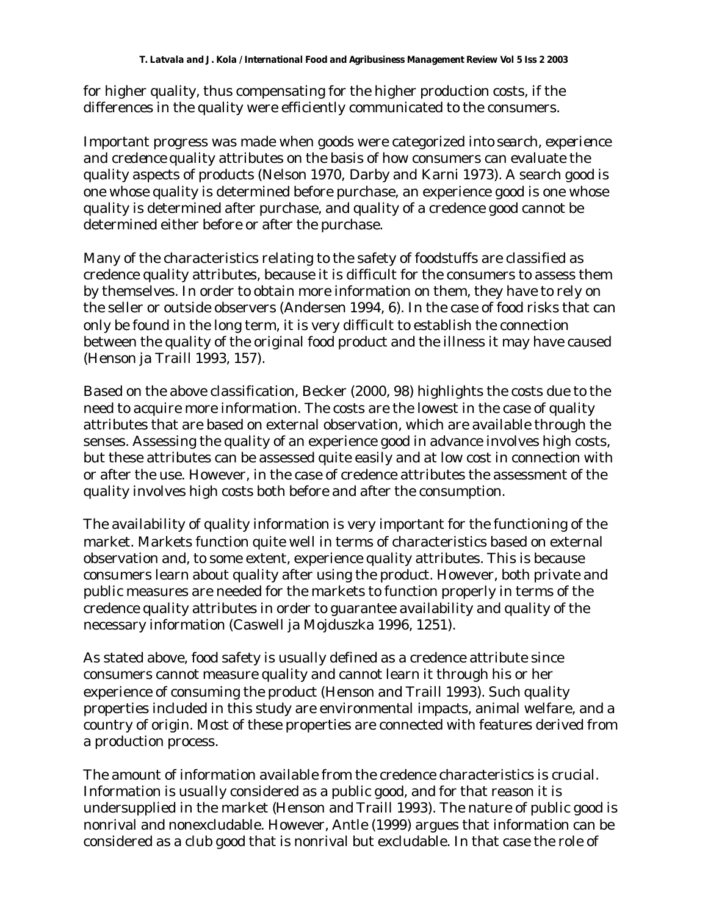for higher quality, thus compensating for the higher production costs, if the differences in the quality were efficiently communicated to the consumers.

Important progress was made when goods were categorized into *search, experience and credence* quality attributes on the basis of how consumers can evaluate the quality aspects of products (Nelson 1970, Darby and Karni 1973). A search good is one whose quality is determined before purchase, an experience good is one whose quality is determined after purchase, and quality of a credence good cannot be determined either before or after the purchase.

Many of the characteristics relating to the safety of foodstuffs are classified as credence quality attributes, because it is difficult for the consumers to assess them by themselves. In order to obtain more information on them, they have to rely on the seller or outside observers (Andersen 1994, 6). In the case of food risks that can only be found in the long term, it is very difficult to establish the connection between the quality of the original food product and the illness it may have caused (Henson ja Traill 1993, 157).

Based on the above classification, Becker (2000, 98) highlights the costs due to the need to acquire more information. The costs are the lowest in the case of quality attributes that are based on external observation, which are available through the senses. Assessing the quality of an experience good in advance involves high costs, but these attributes can be assessed quite easily and at low cost in connection with or after the use. However, in the case of credence attributes the assessment of the quality involves high costs both before and after the consumption.

The availability of quality information is very important for the functioning of the market. Markets function quite well in terms of characteristics based on external observation and, to some extent, experience quality attributes. This is because consumers learn about quality after using the product. However, both private and public measures are needed for the markets to function properly in terms of the credence quality attributes in order to guarantee availability and quality of the necessary information (Caswell ja Mojduszka 1996, 1251).

As stated above, food safety is usually defined as a credence attribute since consumers cannot measure quality and cannot learn it through his or her experience of consuming the product (Henson and Traill 1993). Such quality properties included in this study are environmental impacts, animal welfare, and a country of origin. Most of these properties are connected with features derived from a production process.

The amount of information available from the credence characteristics is crucial. Information is usually considered as a public good, and for that reason it is undersupplied in the market (Henson and Traill 1993). The nature of public good is nonrival and nonexcludable. However, Antle (1999) argues that information can be considered as a club good that is nonrival but excludable. In that case the role of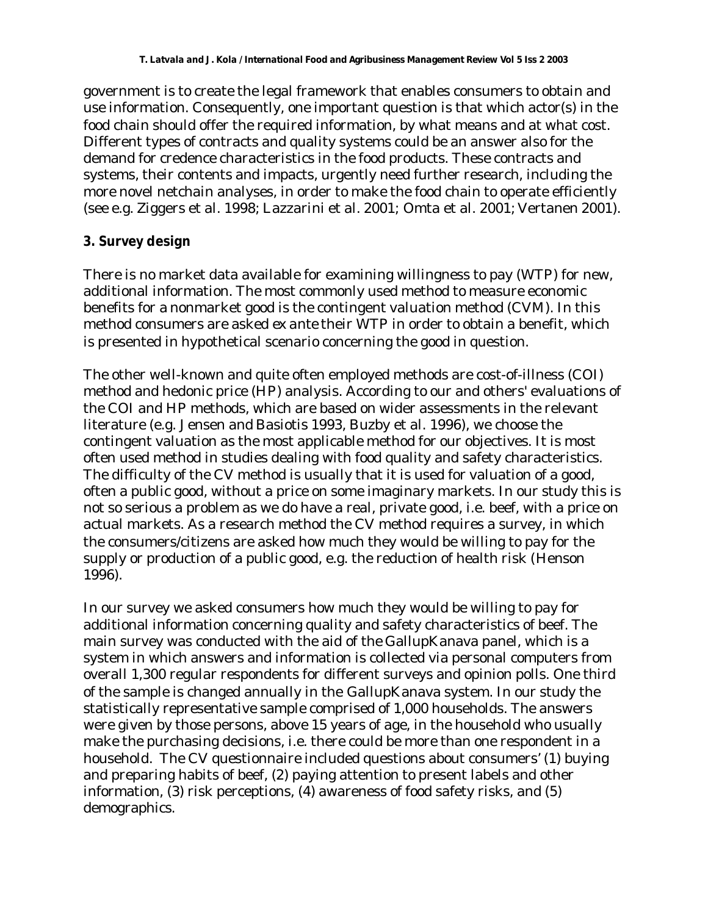government is to create the legal framework that enables consumers to obtain and use information. Consequently, one important question is that which actor(s) in the food chain should offer the required information, by what means and at what cost. Different types of contracts and quality systems could be an answer also for the demand for credence characteristics in the food products. These contracts and systems, their contents and impacts, urgently need further research, including the more novel netchain analyses, in order to make the food chain to operate efficiently (see e.g. Ziggers et al. 1998; Lazzarini et al. 2001; Omta et al. 2001; Vertanen 2001).

## **3. Survey design**

There is no market data available for examining willingness to pay (WTP) for new, additional information. The most commonly used method to measure economic benefits for a nonmarket good is the contingent valuation method (CVM). In this method consumers are asked *ex ante* their WTP in order to obtain a benefit, which is presented in hypothetical scenario concerning the good in question.

The other well-known and quite often employed methods are cost-of-illness (COI) method and hedonic price (HP) analysis. According to our and others' evaluations of the COI and HP methods, which are based on wider assessments in the relevant literature (e.g. Jensen and Basiotis 1993, Buzby et al. 1996), we choose the contingent valuation as the most applicable method for our objectives. It is most often used method in studies dealing with food quality and safety characteristics. The difficulty of the CV method is usually that it is used for valuation of a good, often a public good, without a price on some imaginary markets. In our study this is not so serious a problem as we do have a real, private good, i.e. beef, with a price on actual markets. As a research method the CV method requires a survey, in which the consumers/citizens are asked how much they would be willing to pay for the supply or production of a public good, e.g. the reduction of health risk (Henson 1996).

In our survey we asked consumers how much they would be willing to pay for additional information concerning quality and safety characteristics of beef. The main survey was conducted with the aid of the GallupKanava panel, which is a system in which answers and information is collected via personal computers from overall 1,300 regular respondents for different surveys and opinion polls. One third of the sample is changed annually in the GallupKanava system. In our study the statistically representative sample comprised of 1,000 households. The answers were given by those persons, above 15 years of age, in the household who usually make the purchasing decisions, i.e. there could be more than one respondent in a household. The CV questionnaire included questions about consumers' (1) buying and preparing habits of beef, (2) paying attention to present labels and other information, (3) risk perceptions, (4) awareness of food safety risks, and (5) demographics.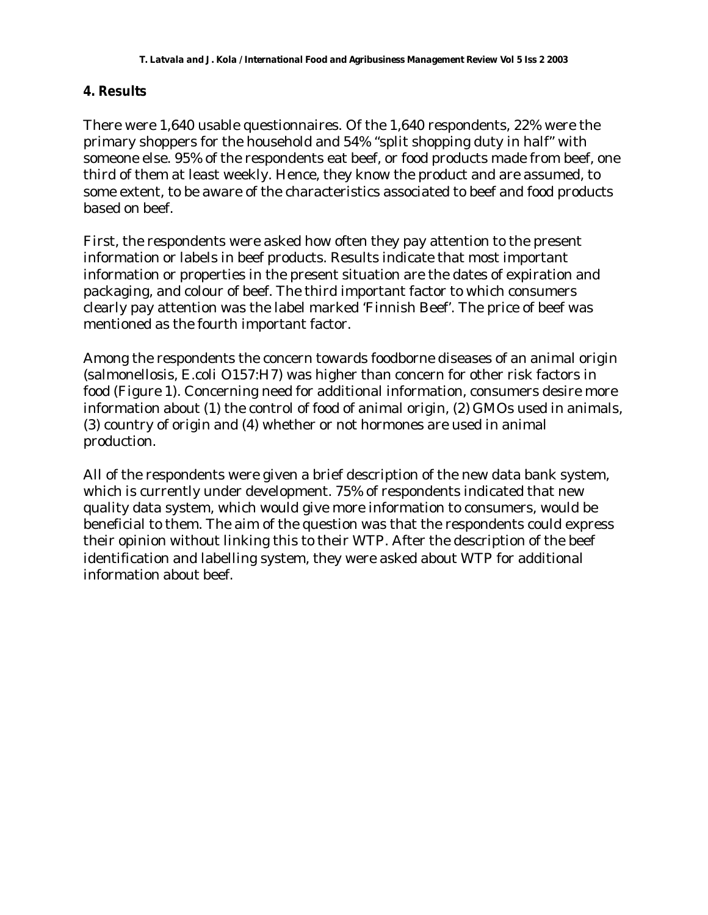#### **4. Results**

There were 1,640 usable questionnaires. Of the 1,640 respondents, 22% were the primary shoppers for the household and 54% "split shopping duty in half" with someone else. 95% of the respondents eat beef, or food products made from beef, one third of them at least weekly. Hence, they know the product and are assumed, to some extent, to be aware of the characteristics associated to beef and food products based on beef.

First, the respondents were asked how often they pay attention to the present information or labels in beef products. Results indicate that most important information or properties in the present situation are the dates of expiration and packaging, and colour of beef. The third important factor to which consumers clearly pay attention was the label marked 'Finnish Beef'. The price of beef was mentioned as the fourth important factor.

Among the respondents the concern towards foodborne diseases of an animal origin (salmonellosis, E.coli O157:H7) was higher than concern for other risk factors in food (Figure 1). Concerning need for additional information, consumers desire more information about (1) the control of food of animal origin, (2) GMOs used in animals, (3) country of origin and (4) whether or not hormones are used in animal production.

All of the respondents were given a brief description of the new data bank system, which is currently under development. 75% of respondents indicated that new quality data system, which would give more information to consumers, would be beneficial to them. The aim of the question was that the respondents could express their opinion without linking this to their WTP. After the description of the beef identification and labelling system, they were asked about WTP for additional information about beef.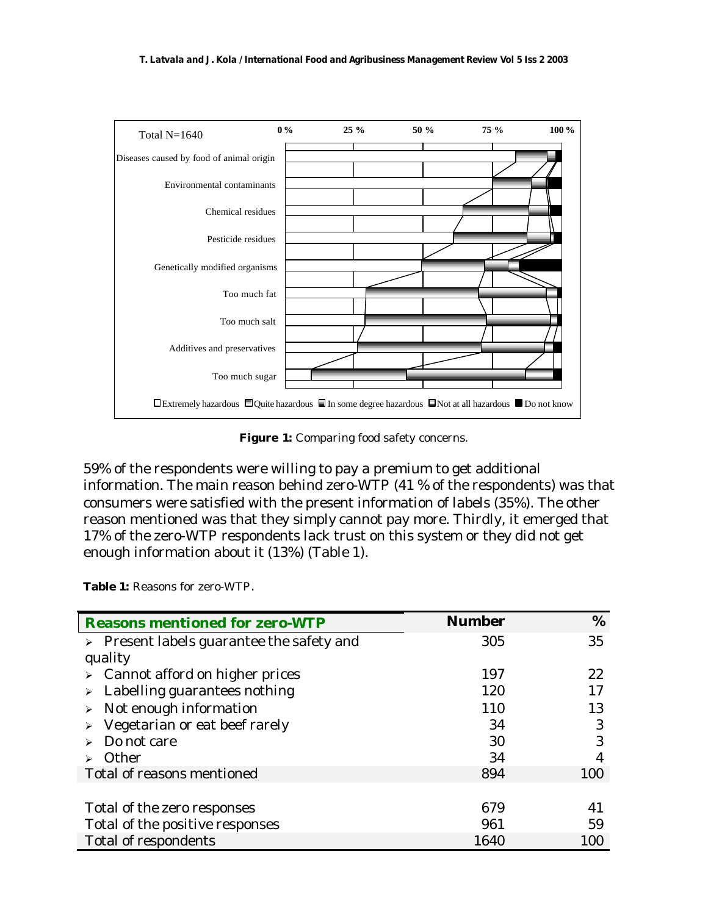

Figure 1: Comparing food safety concerns.

59% of the respondents were willing to pay a premium to get additional information. The main reason behind zero-WTP (41 % of the respondents) was that consumers were satisfied with the present information of labels (35%). The other reason mentioned was that they simply cannot pay more. Thirdly, it emerged that 17% of the zero-WTP respondents lack trust on this system or they did not get enough information about it (13%) (Table 1).

**Table 1:** Reasons for zero-WTP.

| <b>Reasons mentioned for zero-WTP</b>                    | <b>Number</b> | %   |
|----------------------------------------------------------|---------------|-----|
| $\triangleright$ Present labels guarantee the safety and | 305           | 35  |
| quality                                                  |               |     |
| $\triangleright$ Cannot afford on higher prices          | 197           | 22  |
| $\triangleright$ Labelling guarantees nothing            | 120           | 17  |
| $\triangleright$ Not enough information                  | 110           | 13  |
| $\triangleright$ Vegetarian or eat beef rarely           | 34            | 3   |
| Do not care                                              | 30            | 3   |
| Other                                                    | 34            |     |
| Total of reasons mentioned                               | 894           | 100 |
|                                                          |               |     |
| Total of the zero responses                              | 679           | 41  |
| Total of the positive responses                          | 961           | 59  |
| <b>Total of respondents</b>                              | 1640          | 100 |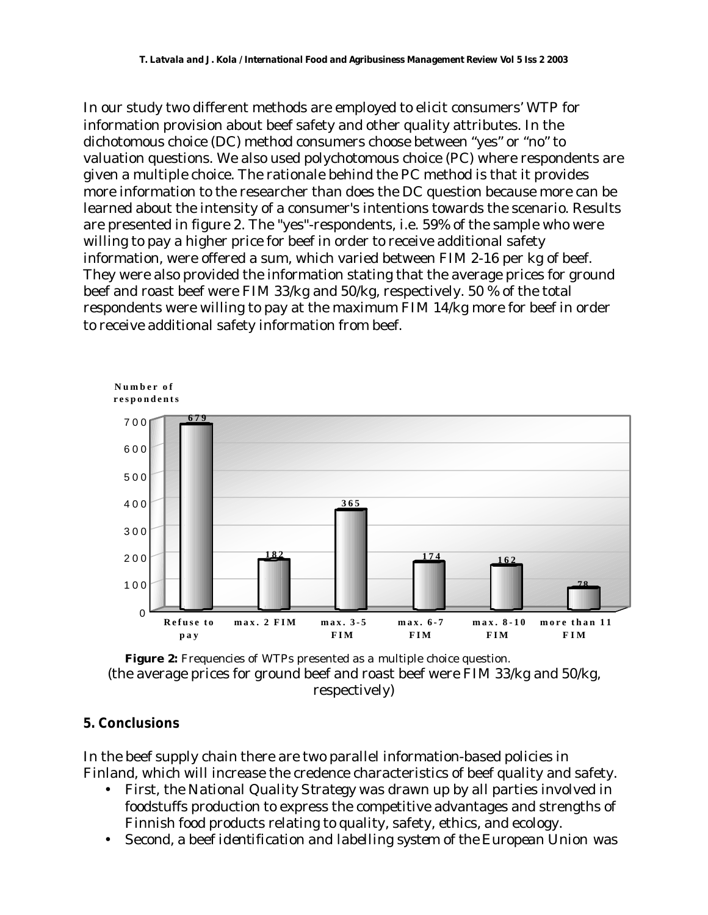In our study two different methods are employed to elicit consumers' WTP for information provision about beef safety and other quality attributes. In the dichotomous choice (DC) method consumers choose between "yes" or "no" to valuation questions. We also used polychotomous choice (PC) where respondents are given a multiple choice. The rationale behind the PC method is that it provides more information to the researcher than does the DC question because more can be learned about the intensity of a consumer's intentions towards the scenario. Results are presented in figure 2. The "yes"-respondents, i.e. 59% of the sample who were willing to pay a higher price for beef in order to receive additional safety information, were offered a sum, which varied between FIM 2-16 per kg of beef. They were also provided the information stating that the average prices for ground beef and roast beef were FIM 33/kg and 50/kg, respectively. 50 % of the total respondents were willing to pay at the maximum FIM 14/kg more for beef in order to receive additional safety information from beef.





#### **5. Conclusions**

In the beef supply chain there are two parallel information-based policies in Finland, which will increase the credence characteristics of beef quality and safety.

- First, the *National Quality Strategy* was drawn up by all parties involved in foodstuffs production to express the competitive advantages and strengths of Finnish food products relating to quality, safety, ethics, and ecology.
- Second, a beef *identification and labelling system of the European Union* was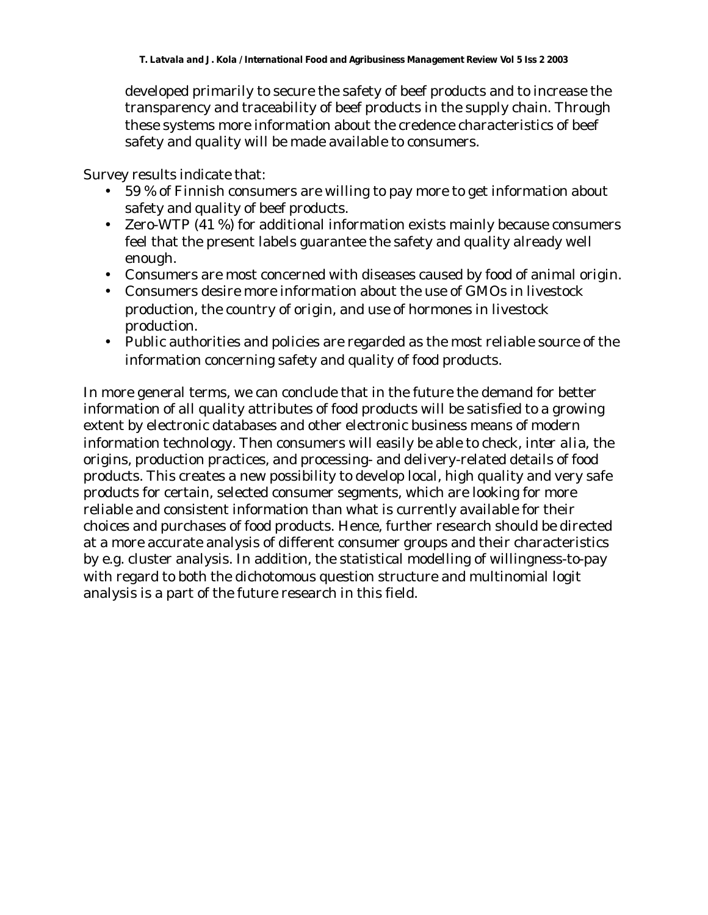developed primarily to secure the safety of beef products and to increase the transparency and traceability of beef products in the supply chain. Through these systems more information about the credence characteristics of beef safety and quality will be made available to consumers.

Survey results indicate that:

- 59 % of Finnish consumers are willing to pay more to get information about safety and quality of beef products.
- Zero-WTP (41 %) for additional information exists mainly because consumers feel that the present labels guarantee the safety and quality already well enough.
- Consumers are most concerned with diseases caused by food of animal origin.
- Consumers desire more information about the use of GMOs in livestock production, the country of origin, and use of hormones in livestock production.
- Public authorities and policies are regarded as the most reliable source of the information concerning safety and quality of food products.

In more general terms, we can conclude that in the future the demand for better information of all quality attributes of food products will be satisfied to a growing extent by electronic databases and other electronic business means of modern information technology. Then consumers will easily be able to check, *inter alia*, the origins, production practices, and processing- and delivery-related details of food products. This creates a new possibility to develop local, high quality and very safe products for certain, selected consumer segments, which are looking for more reliable and consistent information than what is currently available for their choices and purchases of food products. Hence, further research should be directed at a more accurate analysis of different consumer groups and their characteristics by e.g. cluster analysis. In addition, the statistical modelling of willingness-to-pay with regard to both the dichotomous question structure and multinomial logit analysis is a part of the future research in this field.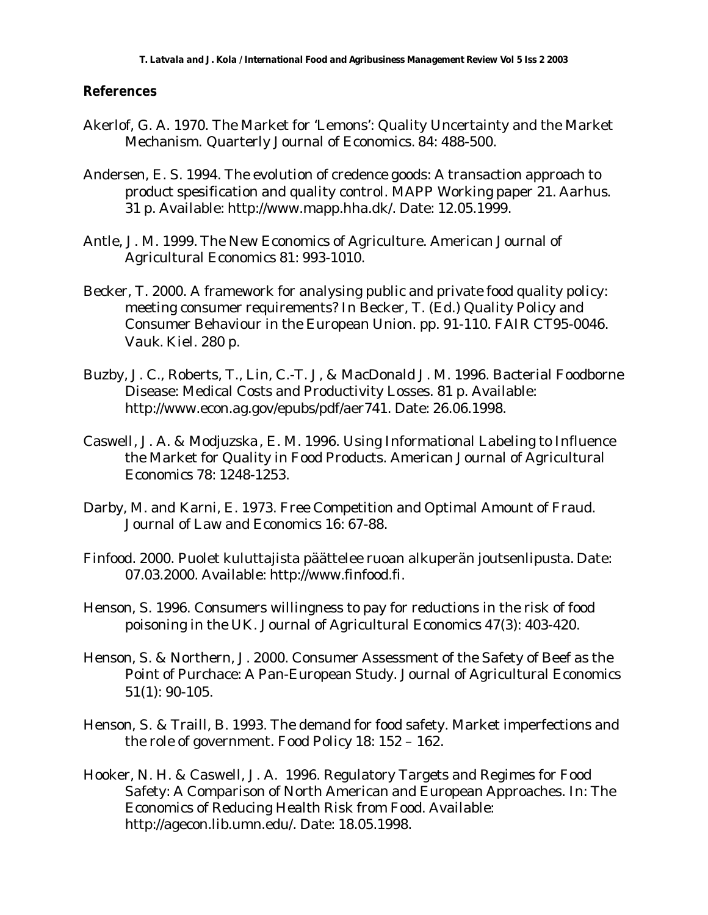#### **References**

- Akerlof, G. A. 1970. The Market for 'Lemons': Quality Uncertainty and the Market Mechanism. Quarterly Journal of Economics. 84: 488-500.
- Andersen, E. S. 1994. The evolution of credence goods: A transaction approach to product spesification and quality control. MAPP Working paper 21. Aarhus. 31 p. Available: http://www.mapp.hha.dk/. Date: 12.05.1999.
- Antle, J. M. 1999. The New Economics of Agriculture. American Journal of Agricultural Economics 81: 993-1010.
- Becker, T. 2000. A framework for analysing public and private food quality policy: meeting consumer requirements? In Becker, T. (Ed.) Quality Policy and Consumer Behaviour in the European Union. pp. 91-110. FAIR CT95-0046. Vauk. Kiel. 280 p.
- Buzby, J. C., Roberts, T., Lin, C.-T. J, & MacDonald J. M. 1996. Bacterial Foodborne Disease: Medical Costs and Productivity Losses. 81 p. Available: http://www.econ.ag.gov/epubs/pdf/aer741. Date: 26.06.1998.
- Caswell, J. A. & Modjuzska, E. M. 1996. Using Informational Labeling to Influence the Market for Quality in Food Products. American Journal of Agricultural Economics 78: 1248-1253.
- Darby, M. and Karni, E. 1973. Free Competition and Optimal Amount of Fraud. Journal of Law and Economics 16: 67-88.
- Finfood. 2000. Puolet kuluttajista päättelee ruoan alkuperän joutsenlipusta. Date: 07.03.2000. Available: http://www.finfood.fi.
- Henson, S. 1996. Consumers willingness to pay for reductions in the risk of food poisoning in the UK. Journal of Agricultural Economics 47(3): 403-420.
- Henson, S. & Northern, J. 2000. Consumer Assessment of the Safety of Beef as the Point of Purchace: A Pan-European Study. Journal of Agricultural Economics 51(1): 90-105.
- Henson, S. & Traill, B. 1993. The demand for food safety. Market imperfections and the role of government. Food Policy 18: 152 – 162.
- Hooker, N. H. & Caswell, J. A. 1996. Regulatory Targets and Regimes for Food Safety: A Comparison of North American and European Approaches. In: The Economics of Reducing Health Risk from Food. Available: http://agecon.lib.umn.edu/. Date: 18.05.1998.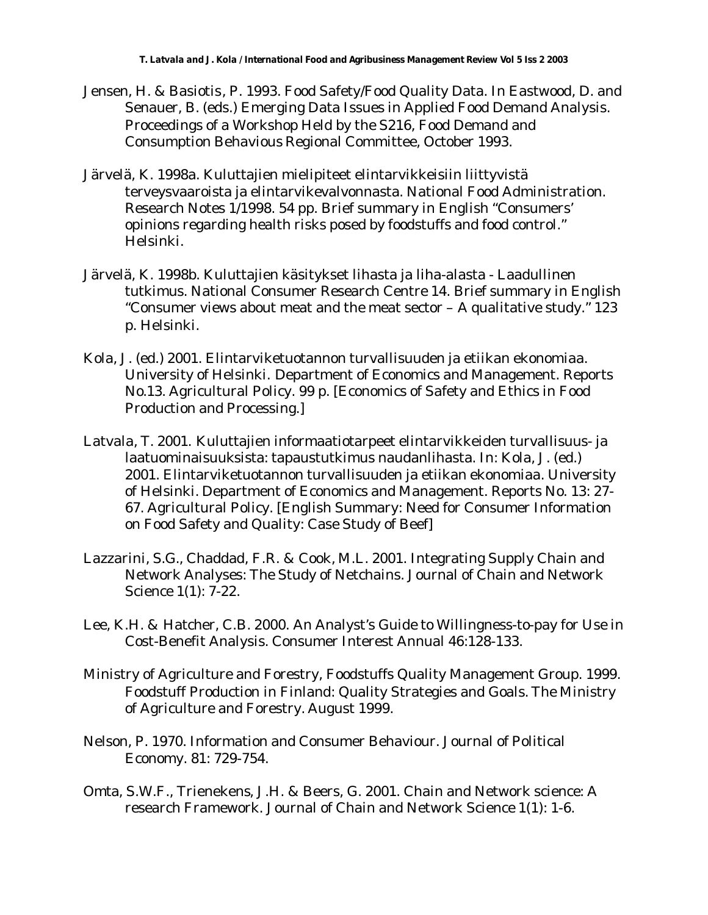- Jensen, H. & Basiotis, P. 1993. Food Safety/Food Quality Data. In Eastwood, D. and Senauer, B. (eds.) Emerging Data Issues in Applied Food Demand Analysis. Proceedings of a Workshop Held by the S216, Food Demand and Consumption Behavious Regional Committee, October 1993.
- Järvelä, K. 1998a. Kuluttajien mielipiteet elintarvikkeisiin liittyvistä terveysvaaroista ja elintarvikevalvonnasta. National Food Administration. Research Notes 1/1998. 54 pp. Brief summary in English "Consumers' opinions regarding health risks posed by foodstuffs and food control." Helsinki.
- Järvelä, K. 1998b. Kuluttajien käsitykset lihasta ja liha-alasta Laadullinen tutkimus. National Consumer Research Centre 14. Brief summary in English "Consumer views about meat and the meat sector – A qualitative study." 123 p. Helsinki.
- Kola, J. (ed.) 2001. Elintarviketuotannon turvallisuuden ja etiikan ekonomiaa. University of Helsinki. Department of Economics and Management. Reports No.13. Agricultural Policy. 99 p. [Economics of Safety and Ethics in Food Production and Processing.]
- Latvala, T. 2001. Kuluttajien informaatiotarpeet elintarvikkeiden turvallisuus- ja laatuominaisuuksista: tapaustutkimus naudanlihasta. In: Kola, J. (ed.) 2001. Elintarviketuotannon turvallisuuden ja etiikan ekonomiaa. University of Helsinki. Department of Economics and Management. Reports No. 13: 27- 67. Agricultural Policy. [English Summary: Need for Consumer Information on Food Safety and Quality: Case Study of Beef]
- Lazzarini, S.G., Chaddad, F.R. & Cook, M.L. 2001. Integrating Supply Chain and Network Analyses: The Study of Netchains. Journal of Chain and Network Science 1(1): 7-22.
- Lee, K.H. & Hatcher, C.B. 2000. An Analyst's Guide to Willingness-to-pay for Use in Cost-Benefit Analysis. Consumer Interest Annual 46:128-133.
- Ministry of Agriculture and Forestry, Foodstuffs Quality Management Group. 1999. Foodstuff Production in Finland: Quality Strategies and Goals. The Ministry of Agriculture and Forestry. August 1999.
- Nelson, P. 1970. Information and Consumer Behaviour. Journal of Political Economy. 81: 729-754.
- Omta, S.W.F., Trienekens, J.H. & Beers, G. 2001. Chain and Network science: A research Framework. Journal of Chain and Network Science 1(1): 1-6.